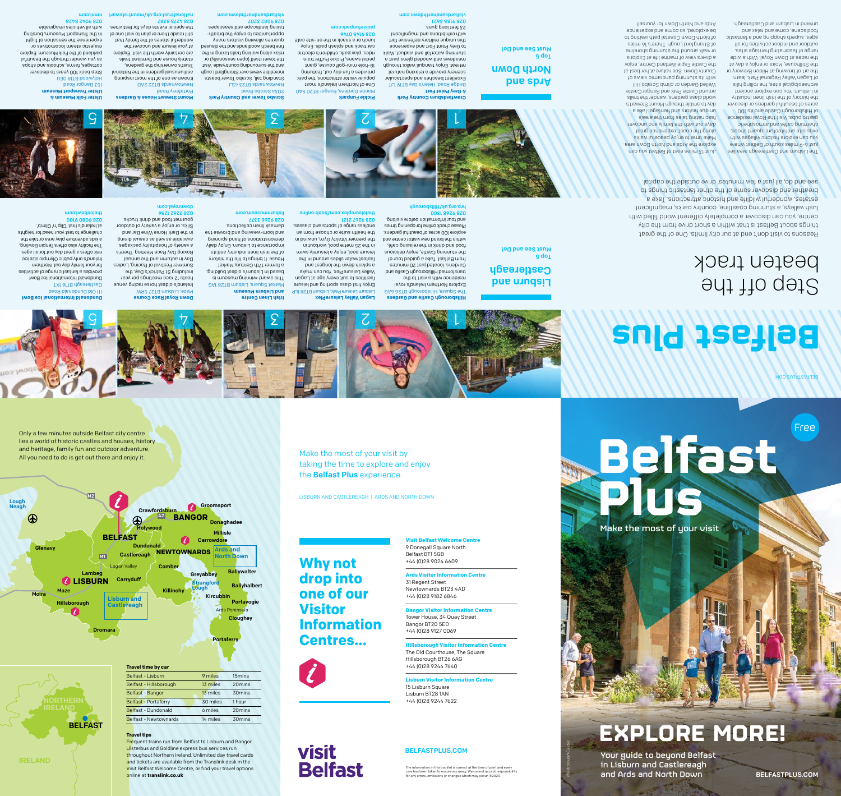**Visit Belfast Welcome Centre**  9 Donegall Square North Belfast BT1 5GB +44 (0)28 9024 6609

**Ards Visitor Information Centre** 

31 Regent Street Newtownards BT23 4AD +44 (0)28 9182 6846

**Iah Visitor Info** The Old Courthouse, The Square Hillsborough BT26 6AG +44 (0)28 9244 7640

**Bangor Visitor Information Centre**  Tower House, 34 Quay Street

Bangor BT20 5ED +44 (0)28 9127 0069

**Lisburn Visitor Information Centre** 

The information in this booklet is correct at the time of print and every<br>care has been taken to ensure accuracy. We cannot accept responsibility<br>for any errors, omissions or changes which may occur. ©2020.

15 Lisburn Square Lisburn BT28 1AN +44 (0)28 9244 7622

Strangfo Lough

# **Why not drop into one of our Visitor Information Centres…**

**visit** 

**Belfast** 

Make the most of your visit by

taking the time to explore and enjoy

LISBURN AND CASTLEREAGH | ARDS AND NORTH DOWN

the **Belfast Plus** experience.

Dundonald

**Castlereagh** 

 $\bigoplus$ 

**Carryduff** 

sburn and **Castlereagh**  **Newtownards**

**BANGOR**

**Donaghadee** 

**Millisle** 

Holywood

 $\overline{A2}$ 

**Crawfordsburn** 

Combe

M2

M1

Lough Neagh

**BELFAST** 

*C* LISBURN

Lagan Valley

Ards Peninsula

**Ballywalter** 

**Ballyhalbert** 

Portavogie

**Cloughey** 

Belfast - Hillsborough 13 miles 20 mins Belfast - Bangor **13 miles** 30 mins Belfast - Portaferry 30 miles 1 hour Belfast - Dundonald 6 miles 20 mins Belfast - Newtownards 14 miles 30 mins

Belfast - Lisburn 9 miles 15 mins

# IRELAND

**Glenavy** 

Moira Maze

**Travel time by car**

Dromara

Only a few minutes outside Belfast city centre lies a world of historic castles and houses, history and heritage, family fun and outdoor adventure. All you need to do is get out there and enjoy it.

> **Travel tips** Frequent trains run from Belfast to Lisburn and Bangor. Ulsterbus and Goldline express bus services run throughout Northern Ireland. Unlimited day travel cards and tickets are available from the Translink desk in the Visit Belfast Welcome Centre, or find your travel options online at **translink.co.uk**

# pue undsi Castlereagh

# 203a Scrabo Road Newtownards BT23 4SJ  $\frac{1}{2}$  3  $\frac{1}{2}$

**BELFAST**

Hillsborough

Ards and North Down

**Groomsport** 

**Portaferry** 

Lambeg

#### **Pickie Funpark** arine Gardens, Bangor BT20 5AG M One of Northern Ireland's most popular visitor attractions, the park provides a fun day out, featuring hole mini-golf course, giant - 18 pedal swans, Pickie Puffer train

Killinchy

Kircubbin

**Greyabbey** 

**Carrowdore** 

# Step off the beaten track



# 111 Old Dundonald Road

Castlereagh BT16 1XT

## Dundonald International Ice Bowl provides a fantastic range of activities

**Ulster Folk Museum & Ulster Transport Museum**  153 Bangor Road U30 8IT8 boowyloH

# ဌ

#### for your family day out. Northern Ireland's only public Olympic size ice rink offers a great day out for all ages. The facility also offers Tenpin Bowling, a kids adventure play area or take the challenge to test your head for heights at Ireland's first 'Clip 'n' Climb'.

# 028 9080 9100

#### barkland of the Folk Museum. Explore majestic steam locomotives or experience the sensation of flight in the Transport Muzeum, bursting with all vehicles imaginable.

theicebowl.com

**Crawfordsburn Country Park & Grey Point Fort**  Bridge Road, Helen's Bay BT19 1JT Excellent beaches and spectacular scenery provide a relaxing natural retreat. Enjoy tranquil walks through e teeq analg baboow bns ewobeem stunning waterfall and viaduct. Walk to Grey Point Fort and experience

aze, Lisburn BT27 5RW M

Ireland's oldest horse racing venue

this unique military defensive fort with exhibitions and magnificent 23 feet long guns. 1299 9816 870



hosts 12 race meetings per year including St Patrick's Day, the Summer Festival of Racing, Ladies Day in autumn and the annual Boxing Day Race Meeting. There's a variety of hospitality packages available as well as casual dining in the Dark Horse Wine Bar and Silks, or enjoy a variety of outdoor gourmet food and drink trucks. 99ZL Z9Z6 8Z0 downroyal.com

Valley LeisurePlex. You can make a splash down the longest and fastest water slides around in the leisure pool, enjoy a leisurely swim in the 25 metre pool, workout in

the premier Vitality Gym, unwind in the health suite or choose from an endless range of sports and classes.

This award-winning museum is based in Lisburn's oldest building, a former 17th Century Market House. It brings to life the history of the Irish industry and its importance to Lisburn. Enjoy daily demonstrations of hand spinning and loom-weaving and browse the damask linen collections. 028 9266 3377 lisburnmuseum.com

Market Square, Lisburn BT28 1AG

**and Lisburn Museum** 

# Ards and North Down Top 5

Must See and Do!

## Top 5 Must See and Do!



fine beech woodlands and the disused quarries allowing visitors many opportunities to enjoy the breathtaking landscape and seascapes.

7028 2806 820

#### **Scrabo Tower and Country Park**  Standing tall, Scrabo Tower boasts incredible views over Strangford Lough and the surrounding countryside. Visit the tower itself (open seasonally) or relax along walking trails taking in the **Mount Stewart House & Gardens**

visitardsandnorthdown.com

rides, play park, children's electric

## car track and splash pads. Enjoy lunch or a snack in the on-site café.

Just 13 miles east of Belfast you can explore the Ards and North Down area. Make time to enjol peaceful walks along the coast, experience great days ont with the family and uncover fascinating tales from the area's unique history and heritage. Take a day to amble through Mount Stewart's world class gardens, wander the trails around Castle Park and Bangor Castle Walled Garden or climb Scrabo Hill with its stunning panoramic views of County Down. See nature at her best at the Castle Espie Wetland Centre, enjoy a divers view of marine life at Exploris or walk around the stunning shoreline of Strangford Lough. There's 16 miles of North Down Coastal path waiting to be explored, so come and experience Ards and North Down for yourself.

The Lisburn and Castlereagh area lies lust 6-9 miles south of Belfast where you can explore historic villages with exdnisite architecture, quaint shops, charming cafés and atmospheric gastro pubs. Visit the Royal residence of Hillsborough Castle and its 100 acres of beautiful gardens or discover the history of the Irish linen industry in Lisburn. You can explore ancient archaeological sites, the rolling hills of Lagan Valley Regional Park, learn the art of brewing at Hilden Brewery or the Stillhouse, Moira or enjoy a day at the races at Down Royal. With a wide range of fascinating heritage sites, outdoor and indoor activities for all ages, subeup should and a fantastic food scene, come and relax and alises pue und castlereagh.

## 028 9145 0746 pickiefunpark.com

 $\cal C$ 

#### ortaferry Road P Newtownards BT22 2AD Known as one of the most inspiring leuoiteN edt ni enebreg leueuru bne Irust's ownership the gardens, slieit bnalmist bna ezuon yletsta are certainly worth the visit. Explore at your leisure and uncover the wonderful stories of the family that still reside there or plan to visit one of

the special events days for festivities.

028 4278 8387

nationaltrust.org.uk/mount-stewart

Step back 100 years to discover cottages, farms, chools and shops as you wander through the beautiful

#### 028 9042 8428 nmni.com

## visitardsandnorthdown.com

# **Belfast Plus**

belfastplus.com

Enjoy first class sporting and leisure

**Fiaburn Leisure Park, Lisburn BT28 1LP** 

**Lagan Valley LeisurePlex** 

<u>ج</u>

facilities to suit every age at Lagan

028 9267 2121

theleisureplex.com/book-online



The Square, Hillsborough BT26 6AG Explore Northern Ireland's royal residence with a visit to the transformed Hillsborough Castle and Gardens, located just 20 minutes from Belfast. Take a guided tour of the stunning Castle, enjoy delicious food and drink in the relaxing café, within the brand new visitor centre and explore 100 acres of beautiful gardens. Please check online for opening times and tour information before visiting.

028 9268 1300 hrp.org.uk/Hillsborough

# $\overline{\phantom{a}}$







Reasons to visit don't end at our city limits. One of the great things about Belfast is that within a short drive from the city centre, you can discover a completely different world filled with lush valleys, a stunning coastline, country parks, magnificent estates, wonderful wildlife and historic attractions. Take a breather and discover some of the other fantastic things to see and do, all just a few minutes' drive outside the capital.

# **Belfast Plus** Make the most of your visit

**MOO. SULP AST FELLS ASSES** 

Free

# **EXPLORE MORE!**

Your guide to beyond Belfast in Lisburn and Castlereagh and Ards and North Down belfastplus.com

*Hillsborough Castle*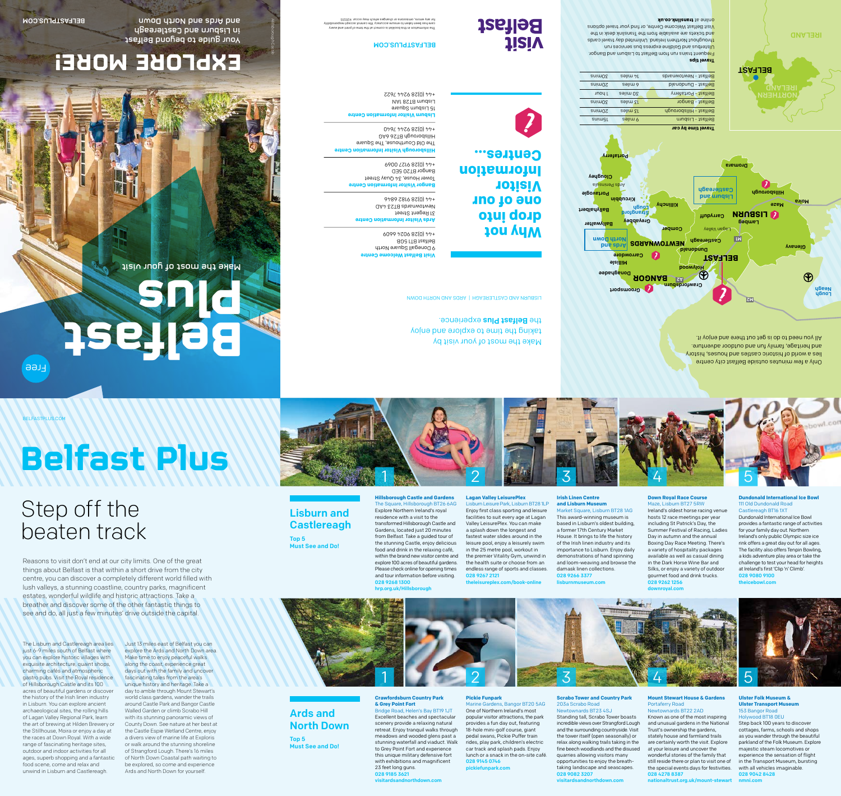# Lisburn and **Castlereagh**

# Step off the beaten track

#### **Dundonald International Ice Bowl** 111 Old Dundonald Road Castlereagh BT16 1XT

Dundonald International Ice Bowl provides a fantastic range of activities for your family day out. Northern Ireland's only public Olympic size ice rink offers a great day out for all ages. The facility also offers Tenpin Bowling, a kids adventure play area or take the challenge to test your head for heights at Ireland's first 'Clip 'n' Climb'. 028 9080 9100

theicebowl.com

#### **Down Royal Race Course**

# 3 1 2 2

Maze, Lisburn BT27 5RW Ireland's oldest horse racing venue hosts 12 race meetings per year including St Patrick's Day, the Summer Festival of Racing, Ladies Day in autumn and the annual Boxing Day Race Meeting. There's a variety of hospitality packages available as well as casual dining in the Dark Horse Wine Bar and Silks, or enjoy a variety of outdoor gourmet food and drink trucks. 028 9262 1256 downroyal.com

**Irish Linen Centre** 

## **and Lisburn Museum**

This award-winning museum is based in Lisburn's oldest building, House. It brings to life the history of the Irish linen industry and its importance to Lisburn. Enjoy daily demonstrations of hand spinning and loom-weaving and browse the

Market Square, Lisburn BT28 1AG a former 17th Century Market damask linen collections. 028 9266 3377 lisburnmuseum.com

Reasons to visit don't end at our city limits. One of the great things about Belfast is that within a short drive from the city centre, you can discover a completely different world filled with lush valleys, a stunning coastline, country parks, magnificent estates, wonderful wildlife and historic attractions. Take a breather and discover some of the other fantastic things to see and do, all just a few minutes' drive outside the capital

# Ards and North Down

Top 5 Must See and Do!

Top 5 Must See and Do!



#### **Scrabo Tower and Country Park**

#### 203a Scrabo Road Newtownards BT23 4SJ Standing tall, Scrabo Tower boasts incredible views over Strangford Lough and the surrounding countryside. Visit the tower itself (open seasonally) or relax along walking trails taking in the fine beech woodlands and the disused quarries allowing visitors many opportunities to enjoy the breathtaking landscape and seascapes. 028 9082 3207

visitardsandnorthdown.com

#### **Pickie Funpark** Marine Gardens, Bangor BT20 5AG

One of Northern Ireland's most popular visitor attractions, the park provides a fun day out, featuring 18-hole mini-golf course, giant pedal swans, Pickie Puffer train rides, play park, children's electric car track and splash pads. Enjoy lunch or a snack in the on-site café. 028 9145 0746 pickiefunpark.com

#### **Mount Stewart House & Gardens**  Portaferry Road Newtownards BT22 2AD

Known as one of the most inspiring and unusual gardens in the National Trust's ownership the gardens, stately house and farmland trails are certainly worth the visit. Explore at your leisure and uncover the wonderful stories of the family that still reside there or plan to visit one of the special events days for festivities. 028 4278 8387

nationaltrust.org.uk/mount-stewart

#### **Ulster Folk Museum & Ulster Transport Museum**  153 Bangor Road

## Holywood BT18 0EU

Step back 100 years to discover cottages, farms, schools and shops as you wander through the beautiful parkland of the Folk Museum. Explore majestic steam locomotives or experience the sensation of flight in the Transport Museum, bursting with all vehicles imaginable. 028 9042 8428

nmni.com

#### **Crawfordsburn Country Park & Grey Point Fort**

Bridge Road, Helen's Bay BT19 1JT Excellent beaches and spectacular scenery provide a relaxing natural retreat. Enjoy tranquil walks through meadows and wooded glens past a stunning waterfall and viaduct. Walk to Grey Point Fort and experience this unique military defensive fort with exhibitions and magnificent 23 feet long guns. 028 9185 3621 visitardsandnorthdown.com

# **Belfast Plus**

#### **Lagan Valley LeisurePlex**



Lisburn Leisure Park, Lisburn BT28 1LP Enjoy first class sporting and leisure facilities to suit every age at Lagan Valley LeisurePlex. You can make a splash down the longest and fastest water slides around in the leisure pool, enjoy a leisurely swim in the 25 metre pool, workout in the premier Vitality Gym, unwind in the health suite or choose from an endless range of sports and classes. 028 9267 2121

theleisureplex.com/book-online

**Hillsborough Castle and Gardens**  The Square, Hillsborough BT26 6AG Explore Northern Ireland's royal residence with a visit to the transformed Hillsborough Castle and Gardens, located just 20 minutes from Belfast. Take a guided tour of the stunning Castle, enjoy delicious food and drink in the relaxing café, within the brand new visitor centre and explore 100 acres of beautiful gardens. Please check online for opening times and tour information before visiting. 028 9268 1300 hrp.org.uk/Hillsborough

The Lisburn and Castlereagh area lies just 6-9 miles south of Belfast where you can explore historic villages with exquisite architecture, quaint shops, charming cafés and atmospheric gastro pubs. Visit the Royal residence of Hillsborough Castle and its 100 acres of beautiful gardens or discover the history of the Irish linen industry in Lisburn. You can explore ancient archaeological sites, the rolling hills of Lagan Valley Regional Park, learn the art of brewing at Hilden Brewery or the Stillhouse, Moira or enjoy a day at the races at Down Royal. With a wide range of fascinating heritage sites, outdoor and indoor activities for all ages, superb shopping and a fantastic food scene, come and relax and unwind in Lisburn and Castlereagh.

Just 13 miles east of Belfast you can explore the Ards and North Down area. Make time to enjoy peaceful walks along the coast, experience great days out with the family and uncover fascinating tales from the area's unique history and heritage. Take a day to amble through Mount Stewart's world class gardens, wander the trails around Castle Park and Bangor Castle Walled Garden or climb Scrabo Hill with its stunning panoramic views of County Down. See nature at her best at the Castle Espie Wetland Centre, enjoy a divers view of marine life at Exploris or walk around the stunning shoreline of Strangford Lough. There's 16 miles of North Down Coastal path waiting to be explored, so come and experience Ards and North Down for yourself.